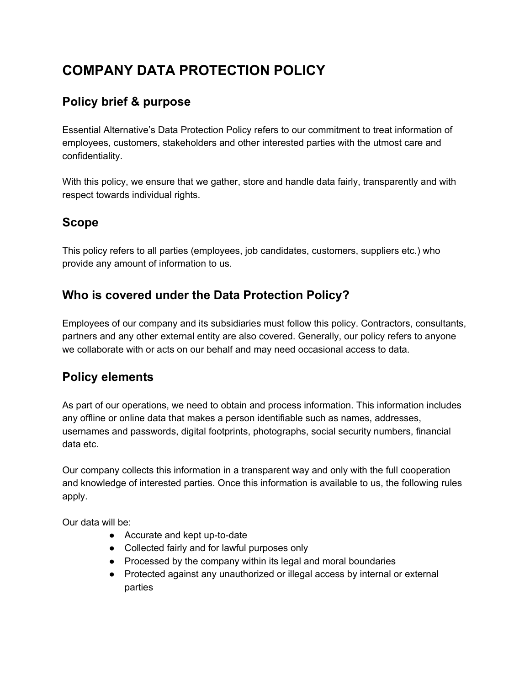# **COMPANY DATA PROTECTION POLICY**

# **Policy brief & purpose**

Essential Alternative's Data Protection Policy refers to our commitment to treat information of employees, customers, stakeholders and other interested parties with the utmost care and confidentiality.

With this policy, we ensure that we gather, store and handle data fairly, transparently and with respect towards individual rights.

#### **Scope**

This policy refers to all parties (employees, job candidates, customers, suppliers etc.) who provide any amount of information to us.

## **Who is covered under the Data Protection Policy?**

Employees of our company and its subsidiaries must follow this policy. Contractors, consultants, partners and any other external entity are also covered. Generally, our policy refers to anyone we collaborate with or acts on our behalf and may need occasional access to data.

## **Policy elements**

As part of our operations, we need to obtain and process information. This information includes any offline or online data that makes a person identifiable such as names, addresses, usernames and passwords, digital footprints, photographs, social security numbers, financial data etc.

Our company collects this information in a transparent way and only with the full cooperation and knowledge of interested parties. Once this information is available to us, the following rules apply.

Our data will be:

- Accurate and kept up-to-date
- Collected fairly and for lawful purposes only
- Processed by the company within its legal and moral boundaries
- Protected against any unauthorized or illegal access by internal or external parties